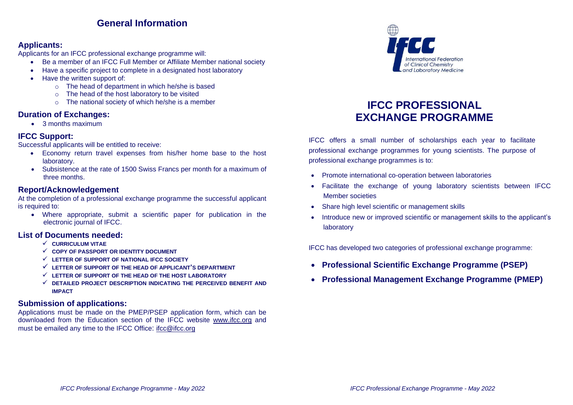### **General Information**

#### **Applicants:**

Applicants for an IFCC professional exchange programme will:

- Be a member of an IFCC Full Member or Affiliate Member national society
- Have a specific project to complete in a designated host laboratory
- Have the written support of:
	- o The head of department in which he/she is based
	- o The head of the host laboratory to be visited
	- o The national society of which he/she is a member

#### **Duration of Exchanges:**

• 3 months maximum

#### **IFCC Support:**

Successful applicants will be entitled to receive:

- Economy return travel expenses from his/her home base to the host laboratory.
- Subsistence at the rate of 1500 Swiss Francs per month for a maximum of three months.

#### **Report/Acknowledgement**

At the completion of a professional exchange programme the successful applicant is required to:

• Where appropriate, submit a scientific paper for publication in the electronic journal of IFCC.

#### **List of Documents needed:**

- ✓ **CURRICULUM VITAE**
- ✓ **COPY OF PASSPORT OR IDENTITY DOCUMENT**
- ✓ **LETTER OF SUPPORT OF NATIONAL IFCC SOCIETY**
- ✓ **LETTER OF SUPPORT OF THE HEAD OF APPLICANT'S DEPARTMENT**
- ✓ **LETTER OF SUPPORT OF THE HEAD OF THE HOST LABORATORY**
- ✓ **DETAILED PROJECT DESCRIPTION INDICATING THE PERCEIVED BENEFIT AND IMPACT**

#### **Submission of applications:**

Applications must be made on the PMEP/PSEP application form, which can be downloaded from the Education section of the IFCC website [www.ifcc.org](http://www.ifcc.org/) and must be emailed any time to the IFCC Office: [ifcc@ifcc.org](mailto:ifcc@ifcc.org)



### **IFCC PROFESSIONAL EXCHANGE PROGRAMME**

IFCC offers a small number of scholarships each year to facilitate professional exchange programmes for young scientists. The purpose of professional exchange programmes is to:

- Promote international co-operation between laboratories
- Facilitate the exchange of young laboratory scientists between IFCC Member societies
- Share high level scientific or management skills
- Introduce new or improved scientific or management skills to the applicant's laboratory

IFCC has developed two categories of professional exchange programme:

- **Professional Scientific Exchange Programme (PSEP)**
- **Professional Management Exchange Programme (PMEP)**